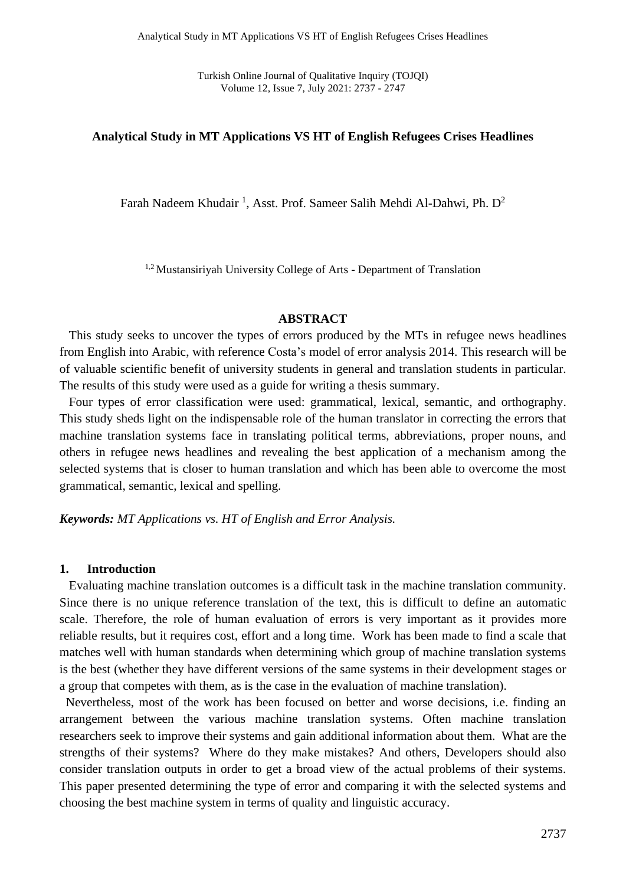Turkish Online Journal of Qualitative Inquiry (TOJQI) Volume 12, Issue 7, July 2021: 2737 - 2747

#### **Analytical Study in MT Applications VS HT of English Refugees Crises Headlines**

Farah Nadeem Khudair<sup>1</sup>, Asst. Prof. Sameer Salih Mehdi Al-Dahwi, Ph. D<sup>2</sup>

<sup>1,2</sup> Mustansiriyah University College of Arts - Department of Translation

#### **ABSTRACT**

 This study seeks to uncover the types of errors produced by the MTs in refugee news headlines from English into Arabic, with reference Costa's model of error analysis 2014. This research will be of valuable scientific benefit of university students in general and translation students in particular. The results of this study were used as a guide for writing a thesis summary.

 Four types of error classification were used: grammatical, lexical, semantic, and orthography. This study sheds light on the indispensable role of the human translator in correcting the errors that machine translation systems face in translating political terms, abbreviations, proper nouns, and others in refugee news headlines and revealing the best application of a mechanism among the selected systems that is closer to human translation and which has been able to overcome the most grammatical, semantic, lexical and spelling.

*Keywords: MT Applications vs. HT of English and Error Analysis.*

#### **1. Introduction**

 Evaluating machine translation outcomes is a difficult task in the machine translation community. Since there is no unique reference translation of the text, this is difficult to define an automatic scale. Therefore, the role of human evaluation of errors is very important as it provides more reliable results, but it requires cost, effort and a long time. Work has been made to find a scale that matches well with human standards when determining which group of machine translation systems is the best (whether they have different versions of the same systems in their development stages or a group that competes with them, as is the case in the evaluation of machine translation).

 Nevertheless, most of the work has been focused on better and worse decisions, i.e. finding an arrangement between the various machine translation systems. Often machine translation researchers seek to improve their systems and gain additional information about them. What are the strengths of their systems? Where do they make mistakes? And others, Developers should also consider translation outputs in order to get a broad view of the actual problems of their systems. This paper presented determining the type of error and comparing it with the selected systems and choosing the best machine system in terms of quality and linguistic accuracy.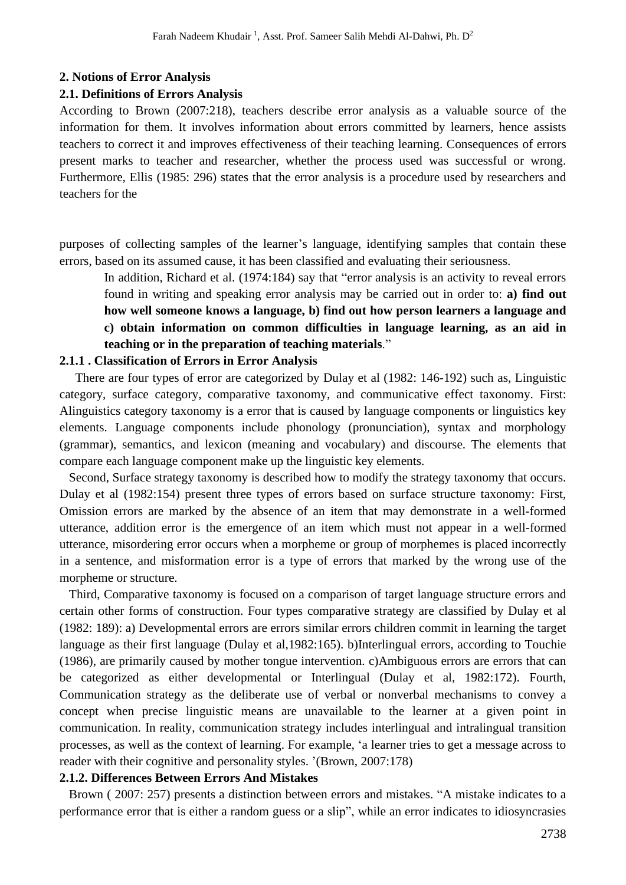#### **2. Notions of Error Analysis**

#### **2.1. Definitions of Errors Analysis**

According to Brown (2007:218), teachers describe error analysis as a valuable source of the information for them. It involves information about errors committed by learners, hence assists teachers to correct it and improves effectiveness of their teaching learning. Consequences of errors present marks to teacher and researcher, whether the process used was successful or wrong. Furthermore, Ellis (1985: 296) states that the error analysis is a procedure used by researchers and teachers for the

purposes of collecting samples of the learner's language, identifying samples that contain these errors, based on its assumed cause, it has been classified and evaluating their seriousness.

In addition, Richard et al. (1974:184) say that "error analysis is an activity to reveal errors found in writing and speaking error analysis may be carried out in order to: **a) find out how well someone knows a language, b) find out how person learners a language and c) obtain information on common difficulties in language learning, as an aid in teaching or in the preparation of teaching materials**."

#### **2.1.1 . Classification of Errors in Error Analysis**

 There are four types of error are categorized by Dulay et al (1982: 146-192) such as, Linguistic category, surface category, comparative taxonomy, and communicative effect taxonomy. First: Alinguistics category taxonomy is a error that is caused by language components or linguistics key elements. Language components include phonology (pronunciation), syntax and morphology (grammar), semantics, and lexicon (meaning and vocabulary) and discourse. The elements that compare each language component make up the linguistic key elements.

 Second, Surface strategy taxonomy is described how to modify the strategy taxonomy that occurs. Dulay et al (1982:154) present three types of errors based on surface structure taxonomy: First, Omission errors are marked by the absence of an item that may demonstrate in a well-formed utterance, addition error is the emergence of an item which must not appear in a well-formed utterance, misordering error occurs when a morpheme or group of morphemes is placed incorrectly in a sentence, and misformation error is a type of errors that marked by the wrong use of the morpheme or structure.

 Third, Comparative taxonomy is focused on a comparison of target language structure errors and certain other forms of construction. Four types comparative strategy are classified by Dulay et al (1982: 189): a) Developmental errors are errors similar errors children commit in learning the target language as their first language (Dulay et al,1982:165). b)Interlingual errors, according to Touchie (1986), are primarily caused by mother tongue intervention. c)Ambiguous errors are errors that can be categorized as either developmental or Interlingual (Dulay et al, 1982:172). Fourth, Communication strategy as the deliberate use of verbal or nonverbal mechanisms to convey a concept when precise linguistic means are unavailable to the learner at a given point in communication. In reality, communication strategy includes interlingual and intralingual transition processes, as well as the context of learning. For example, 'a learner tries to get a message across to reader with their cognitive and personality styles. '(Brown, 2007:178)

#### **2.1.2. Differences Between Errors And Mistakes**

 Brown ( 2007: 257) presents a distinction between errors and mistakes. "A mistake indicates to a performance error that is either a random guess or a slip", while an error indicates to idiosyncrasies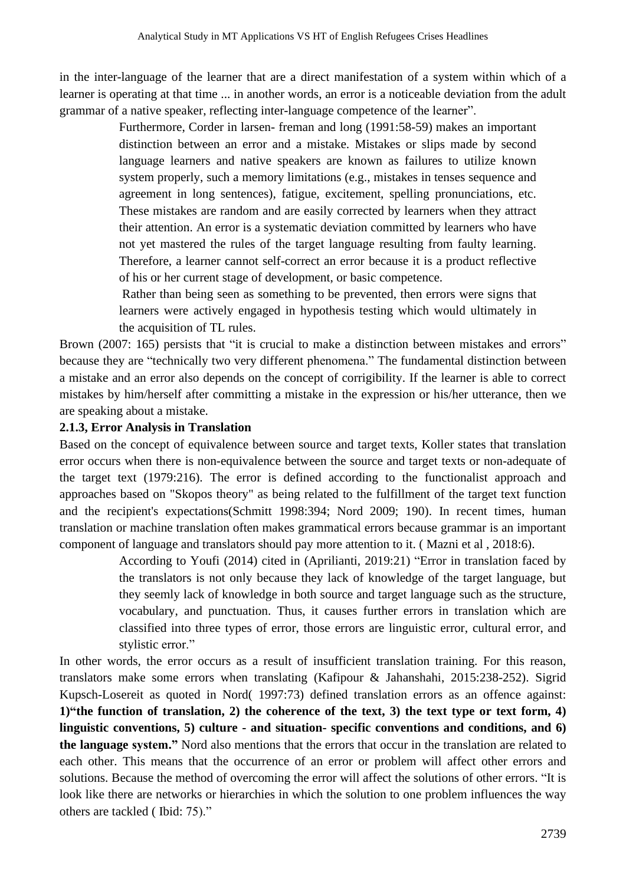in the inter-language of the learner that are a direct manifestation of a system within which of a learner is operating at that time ... in another words, an error is a noticeable deviation from the adult grammar of a native speaker, reflecting inter-language competence of the learner".

> Furthermore, Corder in larsen- freman and long (1991:58-59) makes an important distinction between an error and a mistake. Mistakes or slips made by second language learners and native speakers are known as failures to utilize known system properly, such a memory limitations (e.g., mistakes in tenses sequence and agreement in long sentences), fatigue, excitement, spelling pronunciations, etc. These mistakes are random and are easily corrected by learners when they attract their attention. An error is a systematic deviation committed by learners who have not yet mastered the rules of the target language resulting from faulty learning. Therefore, a learner cannot self-correct an error because it is a product reflective of his or her current stage of development, or basic competence.

> Rather than being seen as something to be prevented, then errors were signs that learners were actively engaged in hypothesis testing which would ultimately in the acquisition of TL rules.

Brown (2007: 165) persists that "it is crucial to make a distinction between mistakes and errors" because they are "technically two very different phenomena." The fundamental distinction between a mistake and an error also depends on the concept of corrigibility. If the learner is able to correct mistakes by him/herself after committing a mistake in the expression or his/her utterance, then we are speaking about a mistake.

#### **2.1.3, Error Analysis in Translation**

Based on the concept of equivalence between source and target texts, Koller states that translation error occurs when there is non-equivalence between the source and target texts or non-adequate of the target text (1979:216). The error is defined according to the functionalist approach and approaches based on "Skopos theory" as being related to the fulfillment of the target text function and the recipient's expectations(Schmitt 1998:394; Nord 2009; 190). In recent times, human translation or machine translation often makes grammatical errors because grammar is an important component of language and translators should pay more attention to it. ( Mazni et al , 2018:6).

> According to Youfi (2014) cited in (Aprilianti, 2019:21) "Error in translation faced by the translators is not only because they lack of knowledge of the target language, but they seemly lack of knowledge in both source and target language such as the structure, vocabulary, and punctuation. Thus, it causes further errors in translation which are classified into three types of error, those errors are linguistic error, cultural error, and stylistic error."

In other words, the error occurs as a result of insufficient translation training. For this reason, translators make some errors when translating (Kafipour & Jahanshahi, 2015:238-252). Sigrid Kupsch-Losereit as quoted in Nord( 1997:73) defined translation errors as an offence against: **1)"the function of translation, 2) the coherence of the text, 3) the text type or text form, 4) linguistic conventions, 5) culture - and situation- specific conventions and conditions, and 6) the language system."** Nord also mentions that the errors that occur in the translation are related to each other. This means that the occurrence of an error or problem will affect other errors and solutions. Because the method of overcoming the error will affect the solutions of other errors. "It is look like there are networks or hierarchies in which the solution to one problem influences the way others are tackled ( Ibid: 75)."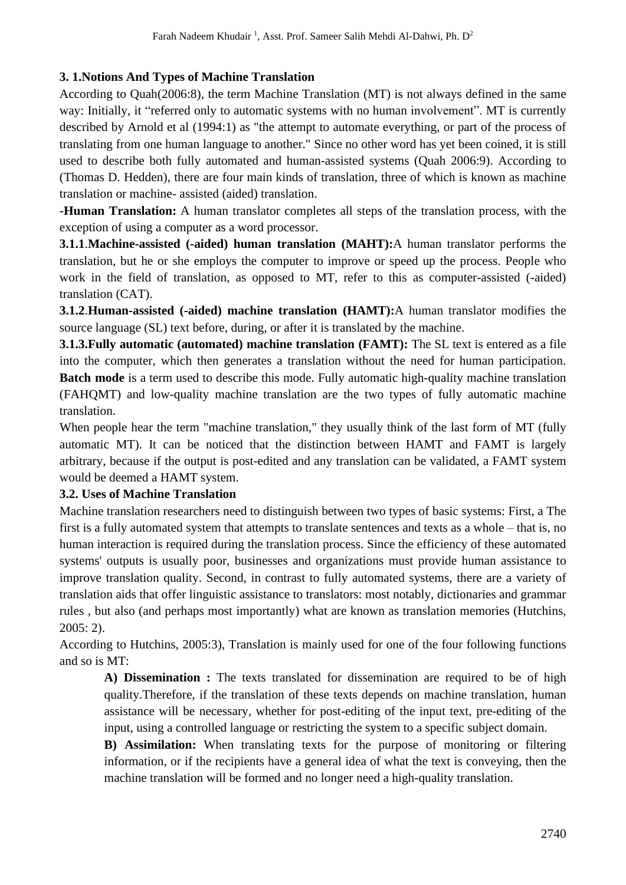## **3. 1.Notions And Types of Machine Translation**

According to Quah(2006:8), the term Machine Translation (MT) is not always defined in the same way: Initially, it "referred only to automatic systems with no human involvement". MT is currently described by Arnold et al (1994:1) as "the attempt to automate everything, or part of the process of translating from one human language to another." Since no other word has yet been coined, it is still used to describe both fully automated and human-assisted systems (Quah 2006:9). According to (Thomas D. Hedden), there are four main kinds of translation, three of which is known as machine translation or machine- assisted (aided) translation.

**-Human Translation:** A human translator completes all steps of the translation process, with the exception of using a computer as a word processor.

**3.1.1**.**Machine-assisted (-aided) human translation (MAHT):**A human translator performs the translation, but he or she employs the computer to improve or speed up the process. People who work in the field of translation, as opposed to MT, refer to this as computer-assisted (-aided) translation (CAT).

**3.1.2**.**Human-assisted (-aided) machine translation (HAMT):**A human translator modifies the source language (SL) text before, during, or after it is translated by the machine.

**3.1.3.Fully automatic (automated) machine translation (FAMT):** The SL text is entered as a file into the computer, which then generates a translation without the need for human participation. **Batch mode** is a term used to describe this mode. Fully automatic high-quality machine translation (FAHQMT) and low-quality machine translation are the two types of fully automatic machine translation.

When people hear the term "machine translation," they usually think of the last form of MT (fully automatic MT). It can be noticed that the distinction between HAMT and FAMT is largely arbitrary, because if the output is post-edited and any translation can be validated, a FAMT system would be deemed a HAMT system.

## **3.2. Uses of Machine Translation**

Machine translation researchers need to distinguish between two types of basic systems: First, a The first is a fully automated system that attempts to translate sentences and texts as a whole – that is, no human interaction is required during the translation process. Since the efficiency of these automated systems' outputs is usually poor, businesses and organizations must provide human assistance to improve translation quality. Second, in contrast to fully automated systems, there are a variety of translation aids that offer linguistic assistance to translators: most notably, dictionaries and grammar rules , but also (and perhaps most importantly) what are known as translation memories (Hutchins, 2005: 2).

According to Hutchins, 2005:3), Translation is mainly used for one of the four following functions and so is MT:

**A) Dissemination :** The texts translated for dissemination are required to be of high quality.Therefore, if the translation of these texts depends on machine translation, human assistance will be necessary, whether for post-editing of the input text, pre-editing of the input, using a controlled language or restricting the system to a specific subject domain.

**B) Assimilation:** When translating texts for the purpose of monitoring or filtering information, or if the recipients have a general idea of what the text is conveying, then the machine translation will be formed and no longer need a high-quality translation.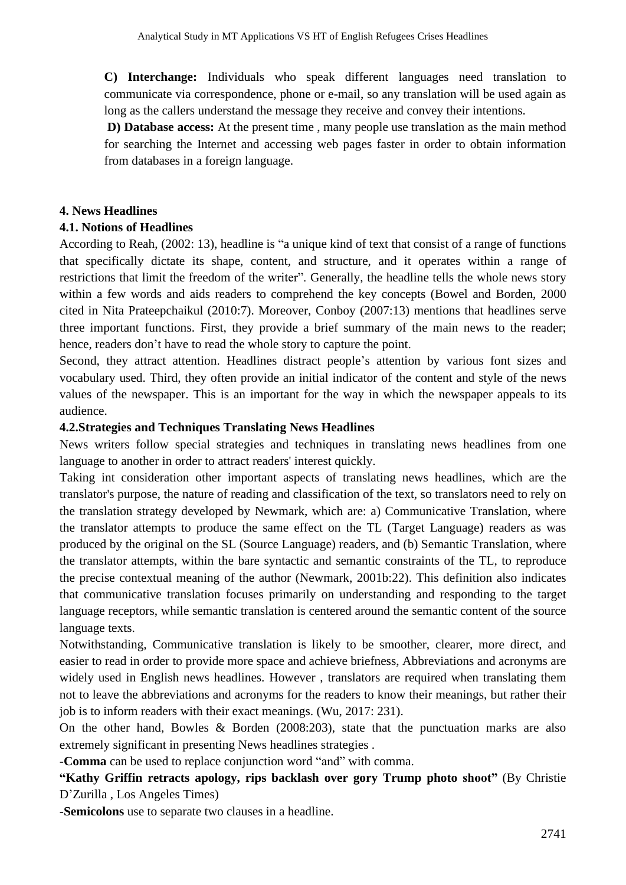**C) Interchange:** Individuals who speak different languages need translation to communicate via correspondence, phone or e-mail, so any translation will be used again as long as the callers understand the message they receive and convey their intentions.

**D) Database access:** At the present time , many people use translation as the main method for searching the Internet and accessing web pages faster in order to obtain information from databases in a foreign language.

#### **4. News Headlines**

#### **4.1. Notions of Headlines**

According to Reah, (2002: 13), headline is "a unique kind of text that consist of a range of functions that specifically dictate its shape, content, and structure, and it operates within a range of restrictions that limit the freedom of the writer". Generally, the headline tells the whole news story within a few words and aids readers to comprehend the key concepts (Bowel and Borden, 2000 cited in Nita Prateepchaikul (2010:7). Moreover, Conboy (2007:13) mentions that headlines serve three important functions. First, they provide a brief summary of the main news to the reader; hence, readers don't have to read the whole story to capture the point.

Second, they attract attention. Headlines distract people's attention by various font sizes and vocabulary used. Third, they often provide an initial indicator of the content and style of the news values of the newspaper. This is an important for the way in which the newspaper appeals to its audience.

#### **4.2.Strategies and Techniques Translating News Headlines**

News writers follow special strategies and techniques in translating news headlines from one language to another in order to attract readers' interest quickly.

Taking int consideration other important aspects of translating news headlines, which are the translator's purpose, the nature of reading and classification of the text, so translators need to rely on the translation strategy developed by Newmark, which are: a) Communicative Translation, where the translator attempts to produce the same effect on the TL (Target Language) readers as was produced by the original on the SL (Source Language) readers, and (b) Semantic Translation, where the translator attempts, within the bare syntactic and semantic constraints of the TL, to reproduce the precise contextual meaning of the author (Newmark, 2001b:22). This definition also indicates that communicative translation focuses primarily on understanding and responding to the target language receptors, while semantic translation is centered around the semantic content of the source language texts.

Notwithstanding, Communicative translation is likely to be smoother, clearer, more direct, and easier to read in order to provide more space and achieve briefness, Abbreviations and acronyms are widely used in English news headlines. However , translators are required when translating them not to leave the abbreviations and acronyms for the readers to know their meanings, but rather their job is to inform readers with their exact meanings. (Wu, 2017: 231).

On the other hand, Bowles & Borden  $(2008:203)$ , state that the punctuation marks are also extremely significant in presenting News headlines strategies .

-**Comma** can be used to replace conjunction word "and" with comma.

**"Kathy Griffin retracts apology, rips backlash over gory Trump photo shoot"** (By Christie D'Zurilla , Los Angeles Times)

-**Semicolons** use to separate two clauses in a headline.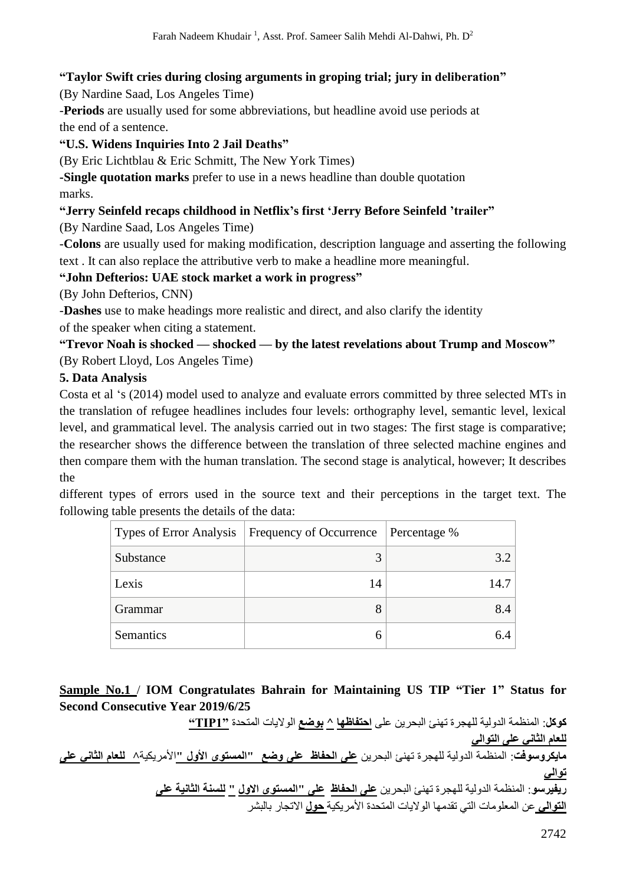### **"Taylor Swift cries during closing arguments in groping trial; jury in deliberation"**

(By Nardine Saad, Los Angeles Time)

-**Periods** are usually used for some abbreviations, but headline avoid use periods at the end of a sentence.

## **"U.S. Widens Inquiries Into 2 Jail Deaths"**

(By Eric Lichtblau & Eric Schmitt, The New York Times)

**-Single quotation marks** prefer to use in a news headline than double quotation marks.

## **"Jerry Seinfeld recaps childhood in Netflix's first 'Jerry Before Seinfeld 'trailer"**

(By Nardine Saad, Los Angeles Time)

-**Colons** are usually used for making modification, description language and asserting the following text . It can also replace the attributive verb to make a headline more meaningful.

### **"John Defterios: UAE stock market a work in progress"**

(By John Defterios, CNN)

-**Dashes** use to make headings more realistic and direct, and also clarify the identity of the speaker when citing a statement.

# **"Trevor Noah is shocked — shocked — by the latest revelations about Trump and Moscow"** (By Robert Lloyd, Los Angeles Time)

### **5. Data Analysis**

Costa et al 's (2014) model used to analyze and evaluate errors committed by three selected MTs in the translation of refugee headlines includes four levels: orthography level, semantic level, lexical level, and grammatical level. The analysis carried out in two stages: The first stage is comparative; the researcher shows the difference between the translation of three selected machine engines and then compare them with the human translation. The second stage is analytical, however; It describes the

different types of errors used in the source text and their perceptions in the target text. The following table presents the details of the data:

|           | Types of Error Analysis   Frequency of Occurrence   Percentage % |      |
|-----------|------------------------------------------------------------------|------|
| Substance |                                                                  | 3.2  |
| Lexis     | 14                                                               | 14.7 |
| Grammar   | 8                                                                | 8.4  |
| Semantics | h                                                                | 64   |

# **Sample No.1** / **IOM Congratulates Bahrain for Maintaining US TIP "Tier 1" Status for Second Consecutive Year 2019/6/25**

**كوكل**: المنظمة الدولیة للھجرة تھنئ البحرین على **احتفاظھا ^ بوضع** الوالیات المتحدة **"1TIP" للعام الثاني على التوالي مايكروسوفت**: المنظمة الدولیة للھجرة تھنئ البحرین **على الحفاظ على وضع "المستوى األول "**األمریكیة**^ للعام الثاني على توالي ريفيرسو**: المنظمة الدولیة للھجرة تھنئ البحرین **على الحفاظ على "المستوى االول " للسنة الثانية على التوالي** عن المعلومات التي تقدمھا الوالیات المتحدة األمریكیة **حول** االتجار بالبشر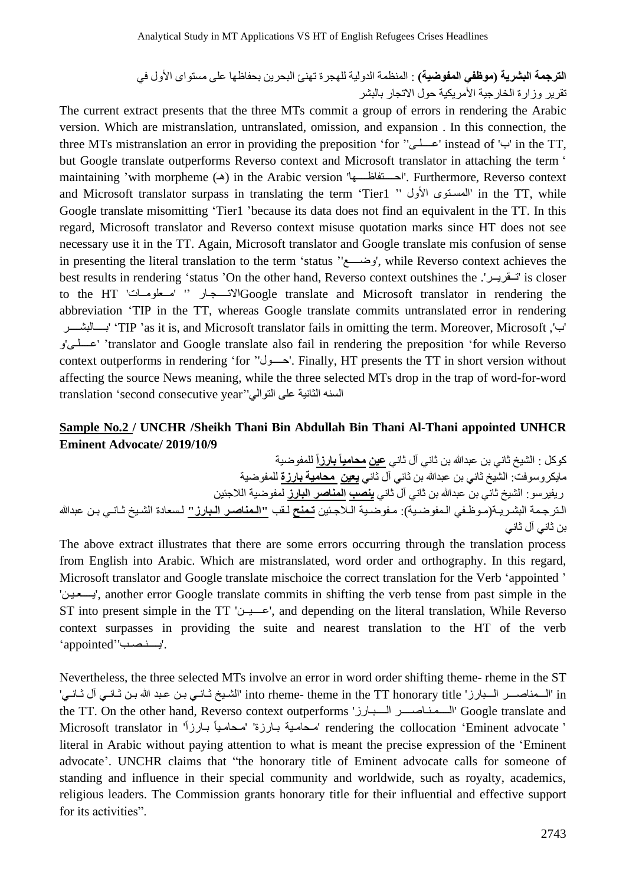**الترجمة البشرية )موظفي المفوضية(** : المنظمة الدولیة للھجرة تھنئ البحرین بحفاظھا على مستواى األول في تقریر وزارة الخارجیة األمریكیة حول االتجار بالبشر

The current extract presents that the three MTs commit a group of errors in rendering the Arabic version. Which are mistranslation, untranslated, omission, and expansion . In this connection, the three MTs mistranslation an error in providing the preposition 'for ''عــــلـى 'instead of 'ب 'in the TT, but Google translate outperforms Reverso context and Microsoft translator in attaching the term ' maintaining 'with morpheme (ھـ (in the Arabic version 'احــــتفاظــــھا'. Furthermore, Reverso context and Microsoft translator surpass in translating the term 'Tier1 '' المستوى الأول '' in the TT, while Google translate misomitting 'Tier1 'because its data does not find an equivalent in the TT. In this regard, Microsoft translator and Reverso context misuse quotation marks since HT does not see necessary use it in the TT. Again, Microsoft translator and Google translate mis confusion of sense in presenting the literal translation to the term 'status ''وضــــع', while Reverso context achieves the best results in rendering 'status 'On the other hand, Reverso context outshines the .'تــقریــر 'is closer to the HT 'مــعلومــات' ''Google translate and Microsoft translator in rendering the abbreviation 'TIP in the TT, whereas Google translate commits untranslated error in rendering بــــالبشــــر' 'TIP 'as it is, and Microsoft translator fails in omitting the term. Moreover, Microsoft ,'ب' و'عــــلـى' 'translator and Google translate also fail in rendering the preposition 'for while Reverso context outperforms in rendering 'for ''حــــول'. Finally, HT presents the TT in short version without affecting the source News meaning, while the three selected MTs drop in the trap of word-for-word السنه الثانیة على التوالي ''year consecutive second 'translation

#### **Sample No.2 / UNCHR /Sheikh Thani Bin Abdullah Bin Thani Al-Thani appointed UNHCR Eminent Advocate/ 2019/10/9**

كوكل : الشیخ ثاني بن عبدهللا بن ثاني آل ثاني **عين محاميا بارزا** للمفوضیة مایكروسوفت: الشیخ ثاني بن عبدهللا بن ثاني آل ثاني **يعين محامية بارزة** للمفوضیة ریفیرسو: الشیخ ثاني بن عبدهللا بن ثاني آل ثاني **ينصب المناصر البارز** لمفوضیة الالجئین الـترجـمة البشـریـة(مـوظـفي الـمفوضـیة): مـفوضـیة الـالجـئین **تـمنح** لـقب **"الـمناصـر الـبارز"** لـسعادة الشـیخ ثـانـي بـن عبدهللا بن ثاني آل ثاني

The above extract illustrates that there are some errors occurring through the translation process from English into Arabic. Which are mistranslated, word order and orthography. In this regard, Microsoft translator and Google translate mischoice the correct translation for the Verb 'appointed ' 'یــــعـیـن', another error Google translate commits in shifting the verb tense from past simple in the ST into present simple in the TT 'عــــیــن', and depending on the literal translation, While Reverso context surpasses in providing the suite and nearest translation to the HT of the verb .'یــــنـصـب''appointed'

Nevertheless, the three selected MTs involve an error in word order shifting theme- rheme in the ST in' الـــمناصـــر الـــبارز' title honorary TT the in theme -rheme into' الشـیخ ثـانـي بـن عـبد هللا بـن ثـانـي آل ثـانـي' the TT. On the other hand, Reverso context outperforms 'الــــبـارز الــــمـنـاصــــر 'Google translate and ' rendering the collocation 'Eminent advocate''سحامية بـارزة' 'مـحامـياً بـارزاً' Microsoft translator in literal in Arabic without paying attention to what is meant the precise expression of the 'Eminent advocate'. UNCHR claims that "the honorary title of Eminent advocate calls for someone of standing and influence in their special community and worldwide, such as royalty, academics, religious leaders. The Commission grants honorary title for their influential and effective support for its activities".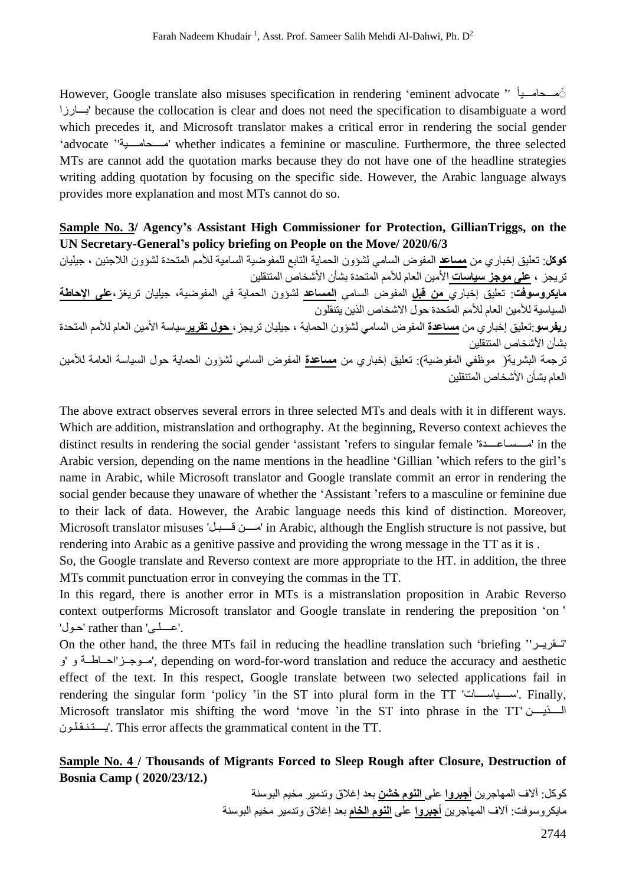However, Google translate also misuses specification in rendering 'eminent advocate '' ًمـــحامـــیا بـــارزا 'because the collocation is clear and does not need the specification to disambiguate a word which precedes it, and Microsoft translator makes a critical error in rendering the social gender 'advocate ''مــــحامــــیة 'whether indicates a feminine or masculine. Furthermore, the three selected MTs are cannot add the quotation marks because they do not have one of the headline strategies writing adding quotation by focusing on the specific side. However, the Arabic language always provides more explanation and most MTs cannot do so.

### **Sample No. 3/ Agency's Assistant High Commissioner for Protection, GillianTriggs, on the UN Secretary-General 's policy briefing on People on the Move/ 2020/6/3**

**كوكل**: تعلیق إخباري من **مساعد** المفوض السامي لشؤون الحمایة التابع للمفوضیة السامیة لألمم المتحدة لشؤون الالجئین ، جیلیان تریجز ، **على موجز سياسات** األمین العام لألمم المتحدة بشأن األشخاص المتنقلین

**مايكروسوفت**: تعلیق إخباري **من قبل** المفوض السامي **المساعد** لشؤون الحمایة في المفوضیة، جیلیان تریغز،**على اإلحاطة** السیاسیة لألمین العام لألمم المتحدة حول االشخاص الذین یتنقلون

**ريفرسو**:تعلیق إخباري من **مساعدة** المفوض السامي لشؤون الحمایة ، جیلیان تریجز، **حول تقرير**سیاسة األمین العام لألمم المتحدة بشأن األشخاص المتنقلین ترجمة البشریة( موظفي المفوضیة): تعلیق إخباري من **مساعدة** المفوض السامي لشؤون الحمایة حول السیاسة العامة لألمین

العام بشأن الأشخاص المتنقلین

The above extract observes several errors in three selected MTs and deals with it in different ways. Which are addition, mistranslation and orthography. At the beginning, Reverso context achieves the distinct results in rendering the social gender 'assistant 'refers to singular female 'مــــسـاعــــدة 'in the Arabic version, depending on the name mentions in the headline 'Gillian 'which refers to the girl's name in Arabic, while Microsoft translator and Google translate commit an error in rendering the social gender because they unaware of whether the 'Assistant 'refers to a masculine or feminine due to their lack of data. However, the Arabic language needs this kind of distinction. Moreover, Microsoft translator misuses 'قــــبـل مــــن 'in Arabic, although the English structure is not passive, but rendering into Arabic as a genitive passive and providing the wrong message in the TT as it is .

So, the Google translate and Reverso context are more appropriate to the HT. in addition, the three MTs commit punctuation error in conveying the commas in the TT.

In this regard, there is another error in MTs is a mistranslation proposition in Arabic Reverso context outperforms Microsoft translator and Google translate in rendering the preposition 'on ' .'عــــلــى' rather than 'حـول'

On the other hand, the three MTs fail in reducing the headline translation such 'briefing ''تــقریــر' و 'و احــاطــة'مــوجــز', depending on word-for-word translation and reduce the accuracy and aesthetic effect of the text. In this respect, Google translate between two selected applications fail in rendering the singular form 'policy 'in the ST into plural form in the TT 'ســــیاســــات'. Finally, Microsoft translator mis shifting the word 'move 'in the ST into phrase in the TT' الــــذیــــن یــــتـنـقـلـون'. This error affects the grammatical content in the TT.

### **Sample No. 4 / Thousands of Migrants Forced to Sleep Rough after Closure, Destruction of Bosnia Camp ( 2020/23/12.)**

كوكل: آالف المھاجرین **أجبروا** على **النوم خشن** بعد إغالق وتدمیر مخیم البوسنة مایكروسوفت: آالف المھاجرین **أجبروا** على **النوم الخام** بعد إغالق وتدمیر مخیم البوسنة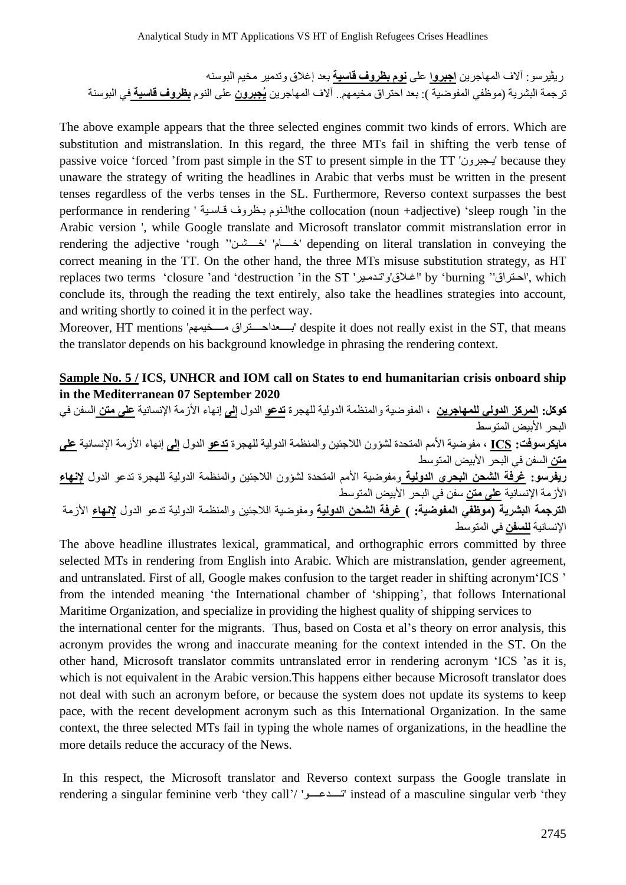ریڤیرسو: آالف المھاجرین **اجبروا** على **نوم بظروف قاسية** بعد إغالق وتدمیر مخیم البوسنه ترجمة البشریة (موظفي المفوضیة ): بعد احتراق مخیمھم.. آالف المھاجرین **يُجبرون** على النوم **بظروف قاسية** في البوسنة

The above example appears that the three selected engines commit two kinds of errors. Which are substitution and mistranslation. In this regard, the three MTs fail in shifting the verb tense of passive voice 'forced 'from past simple in the ST to present simple in the TT 'یـجبرون 'because they unaware the strategy of writing the headlines in Arabic that verbs must be written in the present tenses regardless of the verbs tenses in the SL. Furthermore, Reverso context surpasses the best performance in rendering ' قاسية بـظروف فـاسـية he collocation (noun +adjective) 'sleep rough 'in the Arabic version ', while Google translate and Microsoft translator commit mistranslation error in rendering the adjective 'rough ''خــــشـن' 'خــــام 'depending on literal translation in conveying the correct meaning in the TT. On the other hand, the three MTs misuse substitution strategy, as HT replaces two terms 'closure 'and 'destruction 'in the ST 'اغلاق'و'تدمير' by 'burning ''احتراق'', which conclude its, through the reading the text entirely, also take the headlines strategies into account, and writing shortly to coined it in the perfect way.

Moreover, HT mentions 'مــــخیمھم بــــعداحــــتراق 'despite it does not really exist in the ST, that means the translator depends on his background knowledge in phrasing the rendering context.

## **Sample No. 5 / ICS, UNHCR and IOM call on States to end humanitarian crisis onboard ship in the Mediterranean 07 September 2020**

**كوكل: المركز الدولي للمھاجرين** ، المفوضیة والمنظمة الدولیة للھجرة **تدعو** الدول **إلى** إنھاء األزمة اإلنسانیة **على متن** السفن في البحر الأبيض المتوسط **مايكرسوفت: ICS** ، مفوضیة األمم المتحدة لشؤون الالجئین والمنظمة الدولیة للھجرة **تدعو** الدول **إلى** إنھاء األزمة اإلنسانیة **على متن** السفن في البحر األبیض المتوسط **ريفرسو: غرفة الشحن البحري الدولية** ومفوضیة األمم المتحدة لشؤون الالجئین والمنظمة الدولیة للھجرة تدعو الدول **إلنھاء** األزمة اإلنسانیة **على متن** سفن في البحر األبیض المتوسط **الترجمة البشرية (موظفي المفوضية: ) غرفة الشحن الدولية** ومفوضیة الالجئین والمنظمة الدولیة تدعو الدول **إلنھاء** األزمة اإلنسانیة **للسفن** في المتوسط

The above headline illustrates lexical, grammatical, and orthographic errors committed by three selected MTs in rendering from English into Arabic. Which are mistranslation, gender agreement, and untranslated. First of all, Google makes confusion to the target reader in shifting acronym 'ICS ' from the intended meaning 'the International chamber of 'shipping', that follows International Maritime Organization, and specialize in providing the highest quality of shipping services to the international center for the migrants. Thus, based on Costa et al's theory on error analysis, this acronym provides the wrong and inaccurate meaning for the context intended in the ST. On the other hand, Microsoft translator commits untranslated error in rendering acronym 'ICS 'as it is, which is not equivalent in the Arabic version.This happens either because Microsoft translator does not deal with such an acronym before, or because the system does not update its systems to keep pace, with the recent development acronym such as this International Organization. In the same context, the three selected MTs fail in typing the whole names of organizations, in the headline the more details reduce the accuracy of the News.

In this respect, the Microsoft translator and Reverso context surpass the Google translate in rendering a singular feminine verb 'they call'/ 'تــــدعــــو 'instead of a masculine singular verb 'they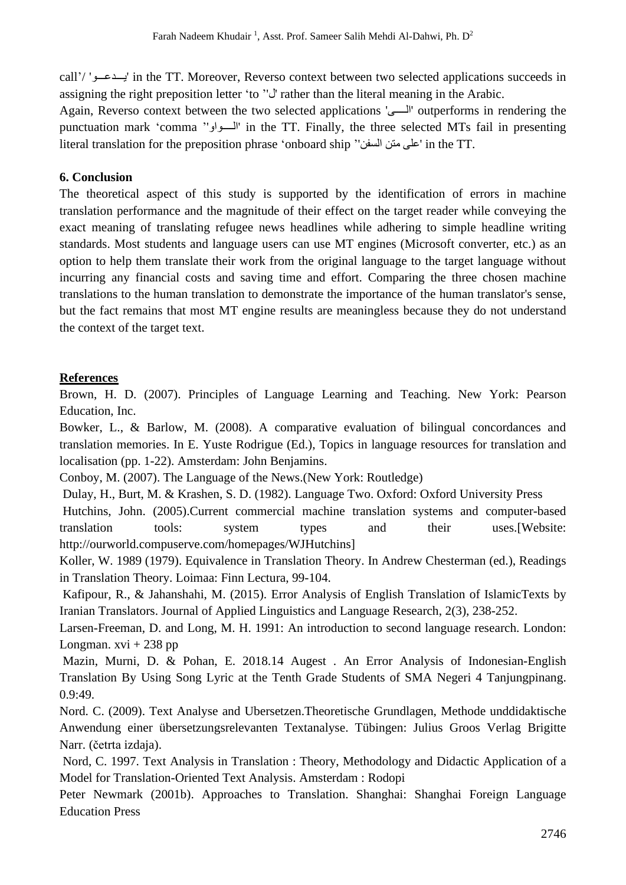call'/ 'یـــدعـــو 'in the TT. Moreover, Reverso context between two selected applications succeeds in assigning the right preposition letter 'to ''ل 'rather than the literal meaning in the Arabic.

Again, Reverso context between the two selected applications 'الــــى 'outperforms in rendering the punctuation mark 'comma ''الــــواو 'in the TT. Finally, the three selected MTs fail in presenting literal translation for the preposition phrase 'onboard ship ''السفن متن على 'in the TT.

## **6. Conclusion**

The theoretical aspect of this study is supported by the identification of errors in machine translation performance and the magnitude of their effect on the target reader while conveying the exact meaning of translating refugee news headlines while adhering to simple headline writing standards. Most students and language users can use MT engines (Microsoft converter, etc.) as an option to help them translate their work from the original language to the target language without incurring any financial costs and saving time and effort. Comparing the three chosen machine translations to the human translation to demonstrate the importance of the human translator's sense, but the fact remains that most MT engine results are meaningless because they do not understand the context of the target text.

## **References**

Brown, H. D. (2007). Principles of Language Learning and Teaching. New York: Pearson Education, Inc.

Bowker, L., & Barlow, M. (2008). A comparative evaluation of bilingual concordances and translation memories. In E. Yuste Rodrigue (Ed.), Topics in language resources for translation and localisation (pp. 1-22). Amsterdam: John Benjamins.

Conboy, M. (2007). The Language of the News.(New York: Routledge)

Dulay, H., Burt, M. & Krashen, S. D. (1982). Language Two. Oxford: Oxford University Press Hutchins, John. (2005).Current commercial machine translation systems and computer-based translation tools: system types and their uses.[Website: http://ourworld.compuserve.com/homepages/WJHutchins]

Koller, W. 1989 (1979). Equivalence in Translation Theory. In Andrew Chesterman (ed.), Readings in Translation Theory. Loimaa: Finn Lectura, 99-104.

Kafipour, R., & Jahanshahi, M. (2015). Error Analysis of English Translation of IslamicTexts by Iranian Translators. Journal of Applied Linguistics and Language Research, 2(3), 238-252.

Larsen-Freeman, D. and Long, M. H. 1991: An introduction to second language research. London: Longman.  $xvi + 238$  pp

Mazin, Murni, D. & Pohan, E. 2018.14 Augest . An Error Analysis of Indonesian-English Translation By Using Song Lyric at the Tenth Grade Students of SMA Negeri 4 Tanjungpinang. 0.9:49.

Nord. C. (2009). Text Analyse and Ubersetzen.Theoretische Grundlagen, Methode unddidaktische Anwendung einer übersetzungsrelevanten Textanalyse. Tübingen: Julius Groos Verlag Brigitte Narr. (četrta izdaja).

Nord, C. 1997. Text Analysis in Translation : Theory, Methodology and Didactic Application of a Model for Translation-Oriented Text Analysis. Amsterdam : Rodopi

Peter Newmark (2001b). Approaches to Translation. Shanghai: Shanghai Foreign Language Education Press